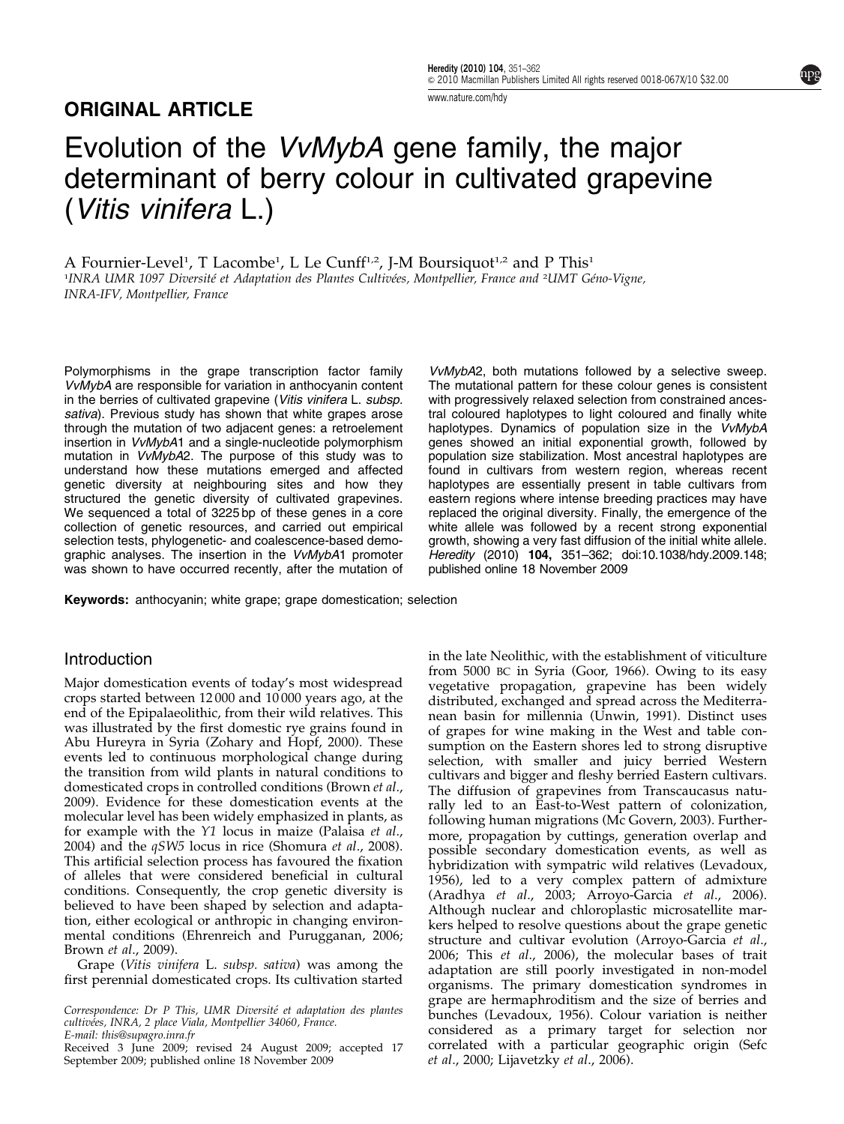# ORIGINAL ARTICLE

npg

[www.nature.com/hdy](http://www.nature.com/hdy)

# Evolution of the VvMybA gene family, the major determinant of berry colour in cultivated grapevine (Vitis vinifera L.)

A Fournier-Level<sup>1</sup>, T Lacombe<sup>1</sup>, L Le Cunff<sup>1,2</sup>, J-M Boursiquot<sup>1,2</sup> and P This<sup>1</sup> INRA UMR 1097 Diversité et Adaptation des Plantes Cultivées, Montpellier, France and <sup>2</sup>UMT Géno-Vigne, INRA-IFV, Montpellier, France

Polymorphisms in the grape transcription factor family VvMybA are responsible for variation in anthocyanin content in the berries of cultivated grapevine (Vitis vinifera L. subsp. sativa). Previous study has shown that white grapes arose through the mutation of two adjacent genes: a retroelement insertion in VvMybA1 and a single-nucleotide polymorphism mutation in VvMybA2. The purpose of this study was to understand how these mutations emerged and affected genetic diversity at neighbouring sites and how they structured the genetic diversity of cultivated grapevines. We sequenced a total of 3225 bp of these genes in a core collection of genetic resources, and carried out empirical selection tests, phylogenetic- and coalescence-based demographic analyses. The insertion in the VvMybA1 promoter was shown to have occurred recently, after the mutation of

Keywords: anthocyanin; white grape; grape domestication; selection

## Introduction

Major domestication events of today's most widespread crops started between 12 000 and 10 000 years ago, at the end of the Epipalaeolithic, from their wild relatives. This was illustrated by the first domestic rye grains found in Abu Hureyra in Syria [\(Zohary and Hopf, 2000](#page-11-0)). These events led to continuous morphological change during the transition from wild plants in natural conditions to domesticated crops in controlled conditions [\(Brown](#page-10-0) et al., [2009](#page-10-0)). Evidence for these domestication events at the molecular level has been widely emphasized in plants, as for example with the Y1 locus in maize [\(Palaisa](#page-11-0) et al., [2004](#page-11-0)) and the  $qSW5$  locus in rice ([Shomura](#page-11-0) *et al.*, 2008). This artificial selection process has favoured the fixation of alleles that were considered beneficial in cultural conditions. Consequently, the crop genetic diversity is believed to have been shaped by selection and adaptation, either ecological or anthropic in changing environmental conditions ([Ehrenreich and Purugganan, 2006](#page-10-0); [Brown](#page-10-0) et al., 2009).

Grape (Vitis vinifera L. subsp. sativa) was among the first perennial domesticated crops. Its cultivation started

Correspondence: Dr P This, UMR Diversité et adaptation des plantes cultivées, INRA, 2 place Viala, Montpellier 34060, France. E-mail: [this@supagro.inra.fr](mailto:this@supagro.inra.fr)

Received 3 June 2009; revised 24 August 2009; accepted 17 September 2009; published online 18 November 2009

VvMybA2, both mutations followed by a selective sweep. The mutational pattern for these colour genes is consistent with progressively relaxed selection from constrained ancestral coloured haplotypes to light coloured and finally white haplotypes. Dynamics of population size in the VvMybA genes showed an initial exponential growth, followed by population size stabilization. Most ancestral haplotypes are found in cultivars from western region, whereas recent haplotypes are essentially present in table cultivars from eastern regions where intense breeding practices may have replaced the original diversity. Finally, the emergence of the white allele was followed by a recent strong exponential growth, showing a very fast diffusion of the initial white allele. Heredity (2010) 104, 351–362; doi:[10.1038/hdy.2009.148](http://dx.doi.org/10.1038/hdy.2009.148); published online 18 November 2009

in the late Neolithic, with the establishment of viticulture from 5000 BC in Syria ([Goor, 1966\)](#page-10-0). Owing to its easy vegetative propagation, grapevine has been widely distributed, exchanged and spread across the Mediterranean basin for millennia ([Unwin, 1991](#page-11-0)). Distinct uses of grapes for wine making in the West and table consumption on the Eastern shores led to strong disruptive selection, with smaller and juicy berried Western cultivars and bigger and fleshy berried Eastern cultivars. The diffusion of grapevines from Transcaucasus naturally led to an East-to-West pattern of colonization, following human migrations [\(Mc Govern, 2003](#page-11-0)). Furthermore, propagation by cuttings, generation overlap and possible secondary domestication events, as well as hybridization with sympatric wild relatives [\(Levadoux,](#page-11-0) [1956](#page-11-0)), led to a very complex pattern of admixture ([Aradhya](#page-10-0) et al., 2003; [Arroyo-Garcia](#page-10-0) et al., 2006). Although nuclear and chloroplastic microsatellite markers helped to resolve questions about the grape genetic structure and cultivar evolution [\(Arroyo-Garcia](#page-10-0) et al., [2006](#page-10-0); This et al[., 2006\)](#page-11-0), the molecular bases of trait adaptation are still poorly investigated in non-model organisms. The primary domestication syndromes in grape are hermaphroditism and the size of berries and bunches [\(Levadoux, 1956](#page-11-0)). Colour variation is neither considered as a primary target for selection nor correlated with a particular geographic origin ([Sefc](#page-11-0) et al., 2000).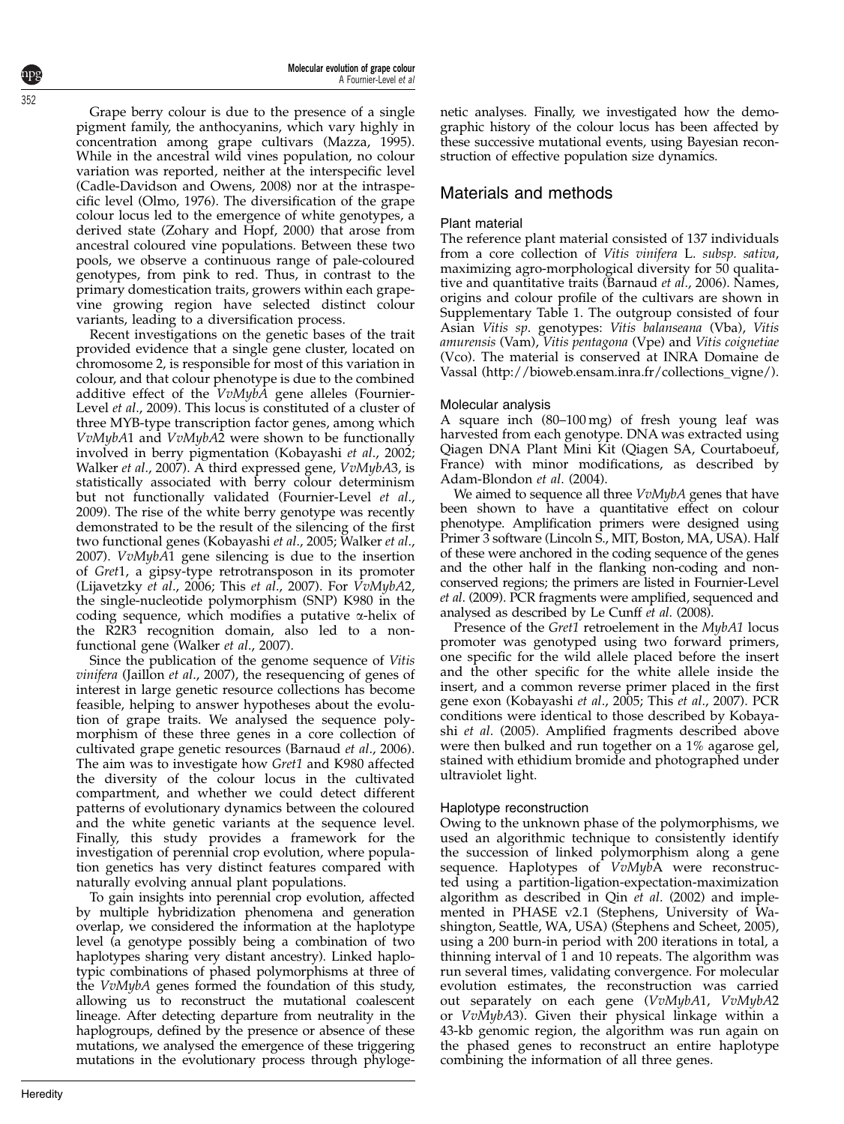Molecular evolution of grape colour A Fournier-Level et al

Grape berry colour is due to the presence of a single pigment family, the anthocyanins, which vary highly in concentration among grape cultivars [\(Mazza, 1995](#page-11-0)). While in the ancestral wild vines population, no colour variation was reported, neither at the interspecific level (Cadle-Davidson and Owens, 2008) nor at the intraspecific level ([Olmo, 1976](#page-11-0)). The diversification of the grape colour locus led to the emergence of white genotypes, a derived state ([Zohary and Hopf, 2000\)](#page-11-0) that arose from ancestral coloured vine populations. Between these two pools, we observe a continuous range of pale-coloured genotypes, from pink to red. Thus, in contrast to the primary domestication traits, growers within each grapevine growing region have selected distinct colour variants, leading to a diversification process.

Recent investigations on the genetic bases of the trait provided evidence that a single gene cluster, located on chromosome 2, is responsible for most of this variation in colour, and that colour phenotype is due to the combined additive effect of the VvMybA gene alleles [\(Fournier-](#page-10-0)Level et al[., 2009](#page-10-0)). This locus is constituted of a cluster of three MYB-type transcription factor genes, among which VvMybA1 and VvMybA2 were shown to be functionally involved in berry pigmentation [\(Kobayashi](#page-11-0) et al., 2002; [Walker](#page-11-0) et al., 2007). A third expressed gene,  $VvMybA3$ , is statistically associated with berry colour determinism but not functionally validated ([Fournier-Level](#page-10-0) et al., [2009\)](#page-10-0). The rise of the white berry genotype was recently demonstrated to be the result of the silencing of the first two functional genes ([Kobayashi](#page-11-0) et al., 2005; [Walker](#page-11-0) et al., [2007\)](#page-11-0). *VvMybA1* gene silencing is due to the insertion of Gret1, a gipsy-type retrotransposon in its promoter ([Lijavetzky](#page-11-0) et al., 2006; This et al[., 2007](#page-11-0)). For VvMybA2, the single-nucleotide polymorphism (SNP) K980 in the coding sequence, which modifies a putative  $\alpha$ -helix of the R2R3 recognition domain, also led to a nonfunctional gene ([Walker](#page-11-0) et al., 2007).

Since the publication of the genome sequence of Vitis vinifera (Jaillon et al[., 2007\)](#page-10-0), the resequencing of genes of interest in large genetic resource collections has become feasible, helping to answer hypotheses about the evolution of grape traits. We analysed the sequence polymorphism of these three genes in a core collection of cultivated grape genetic resources ([Barnaud](#page-10-0) et al., 2006). The aim was to investigate how Gret1 and K980 affected the diversity of the colour locus in the cultivated compartment, and whether we could detect different patterns of evolutionary dynamics between the coloured and the white genetic variants at the sequence level. Finally, this study provides a framework for the investigation of perennial crop evolution, where population genetics has very distinct features compared with naturally evolving annual plant populations.

To gain insights into perennial crop evolution, affected by multiple hybridization phenomena and generation overlap, we considered the information at the haplotype level (a genotype possibly being a combination of two haplotypes sharing very distant ancestry). Linked haplotypic combinations of phased polymorphisms at three of the VvMybA genes formed the foundation of this study, allowing us to reconstruct the mutational coalescent lineage. After detecting departure from neutrality in the haplogroups, defined by the presence or absence of these mutations, we analysed the emergence of these triggering mutations in the evolutionary process through phylogenetic analyses. Finally, we investigated how the demographic history of the colour locus has been affected by these successive mutational events, using Bayesian reconstruction of effective population size dynamics.

## Materials and methods

#### Plant material

The reference plant material consisted of 137 individuals from a core collection of Vitis vinifera L. subsp. sativa, maximizing agro-morphological diversity for 50 qualitative and quantitative traits [\(Barnaud](#page-10-0) et al., 2006). Names, origins and colour profile of the cultivars are shown in Supplementary Table 1. The outgroup consisted of four Asian Vitis sp. genotypes: Vitis balanseana (Vba), Vitis amurensis (Vam), Vitis pentagona (Vpe) and Vitis coignetiae (Vco). The material is conserved at INRA Domaine de Vassal [\(http://bioweb.ensam.inra.fr/collections\\_vigne/](http://bioweb.ensam.inra.fr/collections_vigne/)).

### Molecular analysis

A square inch (80–100 mg) of fresh young leaf was harvested from each genotype. DNA was extracted using Qiagen DNA Plant Mini Kit (Qiagen SA, Courtaboeuf, France) with minor modifications, as described by [Adam-Blondon](#page-10-0) et al. (2004).

We aimed to sequence all three VvMybA genes that have been shown to have a quantitative effect on colour phenotype. Amplification primers were designed using Primer 3 software (Lincoln S., MIT, Boston, MA, USA). Half of these were anchored in the coding sequence of the genes and the other half in the flanking non-coding and nonconserved regions; the primers are listed in [Fournier-Level](#page-10-0) et al[. \(2009\)](#page-10-0). PCR fragments were amplified, sequenced and analysed as described by [Le Cunff](#page-11-0) et al. (2008)

Presence of the Gret1 retroelement in the MybA1 locus promoter was genotyped using two forward primers, one specific for the wild allele placed before the insert and the other specific for the white allele inside the insert, and a common reverse primer placed in the first gene exon [\(Kobayashi](#page-11-0) et al., 2005; This et al[., 2007](#page-11-0)). PCR conditions were identical to those described by [Kobaya](#page-11-0)shi et al[. \(2005\)](#page-11-0). Amplified fragments described above were then bulked and run together on a 1% agarose gel, stained with ethidium bromide and photographed under ultraviolet light.

## Haplotype reconstruction

Owing to the unknown phase of the polymorphisms, we used an algorithmic technique to consistently identify the succession of linked polymorphism along a gene sequence. Haplotypes of VvMybA were reconstructed using a partition-ligation-expectation-maximization algorithm as described in Qin et al[. \(2002\)](#page-11-0) and implemented in PHASE v2.1 (Stephens, University of Washington, Seattle, WA, USA) ([Stephens and Scheet, 2005](#page-11-0)), using a 200 burn-in period with 200 iterations in total, a thinning interval of  $1$  and  $10$  repeats. The algorithm was run several times, validating convergence. For molecular evolution estimates, the reconstruction was carried out separately on each gene (VvMybA1, VvMybA2 or VvMybA3). Given their physical linkage within a 43-kb genomic region, the algorithm was run again on the phased genes to reconstruct an entire haplotype combining the information of all three genes.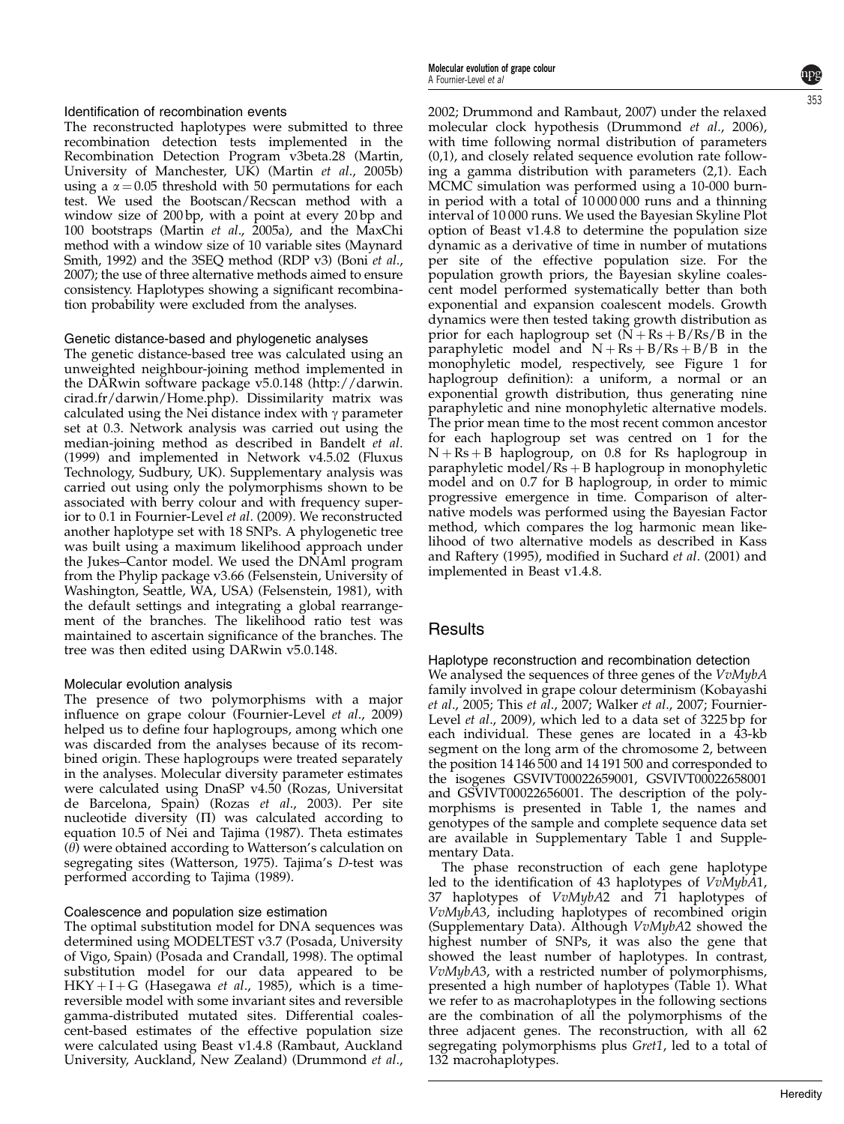#### Identification of recombination events

The reconstructed haplotypes were submitted to three recombination detection tests implemented in the Recombination Detection Program v3beta.28 (Martin, University of Manchester, UK) (Martin et al[., 2005b](#page-11-0)) using a  $\alpha = 0.05$  threshold with 50 permutations for each test. We used the Bootscan/Recscan method with a window size of 200 bp, with a point at every 20 bp and 100 bootstraps (Martin et al[., 2005a](#page-11-0)), and the MaxChi method with a window size of 10 variable sites ([Maynard](#page-11-0) [Smith, 1992](#page-11-0)) and the 3SEQ method (RDP v3) [\(Boni](#page-10-0) et al., [2007\)](#page-10-0); the use of three alternative methods aimed to ensure consistency. Haplotypes showing a significant recombination probability were excluded from the analyses.

#### Genetic distance-based and phylogenetic analyses

The genetic distance-based tree was calculated using an unweighted neighbour-joining method implemented in the DARwin software package v5.0.148 [\(http://darwin.](http://darwin.cirad.fr/darwin/Home.php) [cirad.fr/darwin/Home.php\)](http://darwin.cirad.fr/darwin/Home.php). Dissimilarity matrix was calculated using the Nei distance index with  $\gamma$  parameter set at 0.3. Network analysis was carried out using the median-joining method as described in [Bandelt](#page-10-0) et al. [\(1999\)](#page-10-0) and implemented in Network v4.5.02 (Fluxus Technology, Sudbury, UK). Supplementary analysis was carried out using only the polymorphisms shown to be associated with berry colour and with frequency superior to 0.1 in [Fournier-Level](#page-10-0) et al. (2009). We reconstructed another haplotype set with 18 SNPs. A phylogenetic tree was built using a maximum likelihood approach under the Jukes–Cantor model. We used the DNAml program from the Phylip package v3.66 (Felsenstein, University of Washington, Seattle, WA, USA) [\(Felsenstein, 1981](#page-10-0)), with the default settings and integrating a global rearrangement of the branches. The likelihood ratio test was maintained to ascertain significance of the branches. The tree was then edited using DARwin v5.0.148.

#### Molecular evolution analysis

The presence of two polymorphisms with a major influence on grape colour [\(Fournier-Level](#page-10-0) et al., 2009) helped us to define four haplogroups, among which one was discarded from the analyses because of its recombined origin. These haplogroups were treated separately in the analyses. Molecular diversity parameter estimates were calculated using DnaSP v4.50 (Rozas, Universitat de Barcelona, Spain) (Rozas et al[., 2003\)](#page-11-0). Per site nucleotide diversity  $(II)$  was calculated according to equation 10.5 of [Nei and Tajima \(1987\)](#page-11-0). Theta estimates  $(\theta)$  were obtained according to Watterson's calculation on segregating sites [\(Watterson, 1975\)](#page-11-0). Tajima's D-test was performed according to [Tajima \(1989\)](#page-11-0).

#### Coalescence and population size estimation

The optimal substitution model for DNA sequences was determined using MODELTEST v3.7 (Posada, University of Vigo, Spain) [\(Posada and Crandall, 1998](#page-11-0)). The optimal substitution model for our data appeared to be  $HKY + I + G$  ([Hasegawa](#page-10-0) *et al.*, 1985), which is a timereversible model with some invariant sites and reversible gamma-distributed mutated sites. Differential coalescent-based estimates of the effective population size were calculated using Beast v1.4.8 (Rambaut, Auckland University, Auckland, New Zealand) [\(Drummond](#page-10-0) et al.,

[2002](#page-10-0); [Drummond and Rambaut, 2007](#page-10-0)) under the relaxed 353

molecular clock hypothesis ([Drummond](#page-10-0) et al., 2006), with time following normal distribution of parameters (0,1), and closely related sequence evolution rate following a gamma distribution with parameters (2,1). Each MCMC simulation was performed using a 10-000 burnin period with a total of 10 000 000 runs and a thinning interval of 10 000 runs. We used the Bayesian Skyline Plot option of Beast v1.4.8 to determine the population size dynamic as a derivative of time in number of mutations per site of the effective population size. For the population growth priors, the Bayesian skyline coalescent model performed systematically better than both exponential and expansion coalescent models. Growth dynamics were then tested taking growth distribution as prior for each haplogroup set  $(N + Rs + B/Rs/B$  in the paraphyletic model and  $N + Rs + B/Rs + B/B$  in the monophyletic model, respectively, see [Figure 1](#page-3-0) for haplogroup definition): a uniform, a normal or an exponential growth distribution, thus generating nine paraphyletic and nine monophyletic alternative models. The prior mean time to the most recent common ancestor for each haplogroup set was centred on 1 for the  $N + Rs + B$  haplogroup, on 0.8 for Rs haplogroup in paraphyletic model/ $R\bar{s}$  + B haplogroup in monophyletic model and on 0.7 for B haplogroup, in order to mimic progressive emergence in time. Comparison of alternative models was performed using the Bayesian Factor method, which compares the log harmonic mean likelihood of two alternative models as described in [Kass](#page-11-0) [and Raftery \(1995\)](#page-11-0), modified in [Suchard](#page-11-0) et al. (2001) and implemented in Beast v1.4.8.

#### **Results**

Haplotype reconstruction and recombination detection We analysed the sequences of three genes of the VvMybA family involved in grape colour determinism [\(Kobayashi](#page-11-0) et al[., 2005;](#page-11-0) This et al[., 2007; Walker](#page-11-0) et al., 2007; [Fournier-](#page-10-0)Level et al[., 2009\)](#page-10-0), which led to a data set of 3225 bp for each individual. These genes are located in a 43-kb segment on the long arm of the chromosome 2, between the position 14 146 500 and 14 191 500 and corresponded to the isogenes GSVIVT00022659001, GSVIVT00022658001 and GSVIVT00022656001. The description of the polymorphisms is presented in [Table 1](#page-3-0), the names and genotypes of the sample and complete sequence data set are available in Supplementary Table 1 and Supplementary Data.

The phase reconstruction of each gene haplotype led to the identification of 43 haplotypes of VvMybA1, 37 haplotypes of VvMybA2 and 71 haplotypes of VvMybA3, including haplotypes of recombined origin (Supplementary Data). Although VvMybA2 showed the highest number of SNPs, it was also the gene that showed the least number of haplotypes. In contrast, VvMybA3, with a restricted number of polymorphisms, presented a high number of haplotypes [\(Table 1\)](#page-3-0). What we refer to as macrohaplotypes in the following sections are the combination of all the polymorphisms of the three adjacent genes. The reconstruction, with all 62 segregating polymorphisms plus Gret1, led to a total of 132 macrohaplotypes.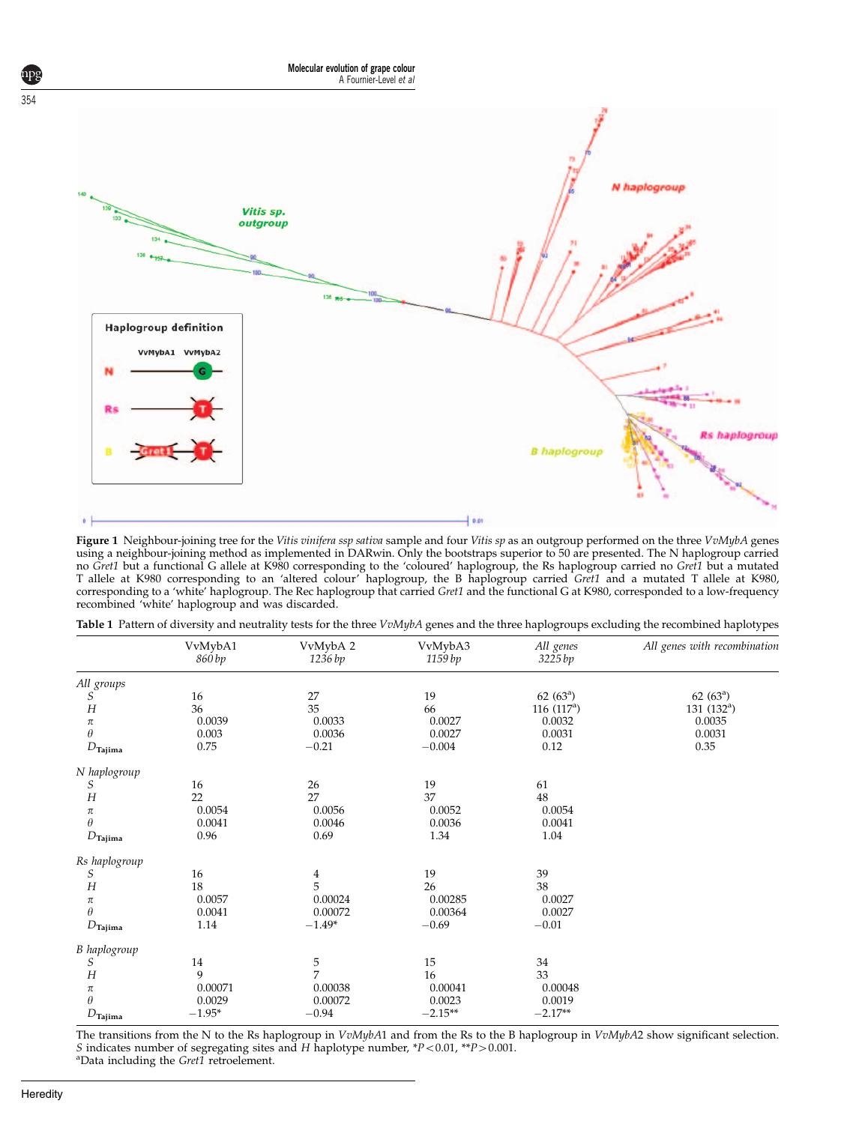<span id="page-3-0"></span>

Figure 1 Neighbour-joining tree for the Vitis vinifera ssp sativa sample and four Vitis sp as an outgroup performed on the three VvMybA genes using a neighbour-joining method as implemented in DARwin. Only the bootstraps superior to 50 are presented. The N haplogroup carried no G*ret1* but a functional G allele at K980 corresponding to the 'coloured' haplogroup, the Rs haplogroup carried no G*ret1* but a mutated T allele at K980 corresponding to an 'altered colour' haplogroup, the B haplogroup carried Gret1 and a mutated T allele at K980, corresponding to a 'white' haplogroup. The Rec haplogroup that carried Gret1 and the functional G at K980, corresponded to a low-frequency recombined 'white' haplogroup and was discarded.

| Table 1 Pattern of diversity and neutrality tests for the three VvMybA genes and the three haplogroups excluding the recombined haplotypes |  |  |  |
|--------------------------------------------------------------------------------------------------------------------------------------------|--|--|--|
|                                                                                                                                            |  |  |  |

|                       | VvMybA1<br>860 bp | VvMybA 2<br>1236 bp | VvMybA3<br>1159 bp | All genes<br>3225bp    | All genes with recombination |
|-----------------------|-------------------|---------------------|--------------------|------------------------|------------------------------|
| All groups            |                   |                     |                    |                        |                              |
| S                     | 16                | 27                  | 19                 | $62(63^a)$             | $62(63^a)$                   |
| Н                     | 36                | 35                  | 66                 | 116(117 <sup>a</sup> ) | 131 (132 <sup>a</sup> )      |
| $\pi$                 | 0.0039            | 0.0033              | 0.0027             | 0.0032                 | 0.0035                       |
| $\theta$              | 0.003             | 0.0036              | 0.0027             | 0.0031                 | 0.0031                       |
| $D_{\mathbf{Tajima}}$ | 0.75              | $-0.21$             | $-0.004$           | 0.12                   | 0.35                         |
| N haplogroup          |                   |                     |                    |                        |                              |
| S                     | 16                | 26                  | 19                 | 61                     |                              |
| Н                     | 22                | 27                  | 37                 | 48                     |                              |
| $\pi$                 | 0.0054            | 0.0056              | 0.0052             | 0.0054                 |                              |
| $\theta$              | 0.0041            | 0.0046              | 0.0036             | 0.0041                 |                              |
| $D_{\mathbf{Tajima}}$ | 0.96              | 0.69                | 1.34               | 1.04                   |                              |
| Rs haplogroup         |                   |                     |                    |                        |                              |
| S                     | 16                | 4                   | 19                 | 39                     |                              |
| H                     | 18                | 5                   | 26                 | 38                     |                              |
| $\pi$                 | 0.0057            | 0.00024             | 0.00285            | 0.0027                 |                              |
| $\theta$              | 0.0041            | 0.00072             | 0.00364            | 0.0027                 |                              |
| $D_{\mathbf{Tajima}}$ | 1.14              | $-1.49*$            | $-0.69$            | $-0.01$                |                              |
| B haplogroup          |                   |                     |                    |                        |                              |
| S                     | 14                | 5                   | 15                 | 34                     |                              |
| Н                     | 9                 | 7                   | 16                 | 33                     |                              |
| $\pi$                 | 0.00071           | 0.00038             | 0.00041            | 0.00048                |                              |
| $\theta$              | 0.0029            | 0.00072             | 0.0023             | 0.0019                 |                              |
| $D_{\mathbf{Tajima}}$ | $-1.95*$          | $-0.94$             | $-2.15**$          | $-2.17**$              |                              |

The transitions from the N to the Rs haplogroup in VvMybA1 and from the Rs to the B haplogroup in VvMybA2 show significant selection. S indicates number of segregating sites and H haplotype number,  $*P < 0.01$ ,  $*P > 0.001$ .  $a$ Data including the Gret1 retroelement.

354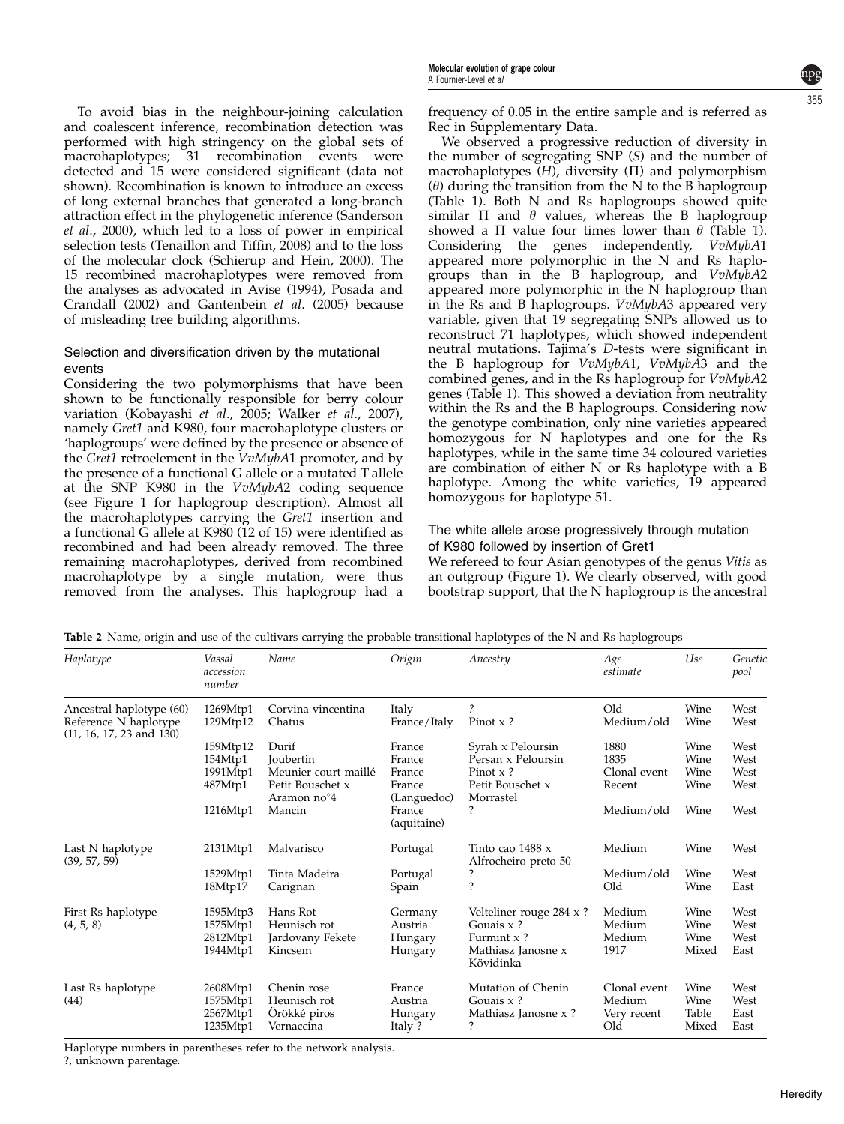<span id="page-4-0"></span>To avoid bias in the neighbour-joining calculation and coalescent inference, recombination detection was performed with high stringency on the global sets of macrohaplotypes; 31 recombination events were detected and 15 were considered significant (data not shown). Recombination is known to introduce an excess of long external branches that generated a long-branch attraction effect in the phylogenetic inference [\(Sanderson](#page-11-0) et al[., 2000\)](#page-11-0), which led to a loss of power in empirical selection tests [\(Tenaillon and Tiffin, 2008\)](#page-11-0) and to the loss of the molecular clock ([Schierup and Hein, 2000\)](#page-11-0). The 15 recombined macrohaplotypes were removed from the analyses as advocated in [Avise \(1994\),](#page-10-0) [Posada and](#page-11-0) [Crandall \(2002\)](#page-11-0) and [Gantenbein](#page-10-0) et al. (2005) because of misleading tree building algorithms.

#### Selection and diversification driven by the mutational events

Considering the two polymorphisms that have been shown to be functionally responsible for berry colour variation [\(Kobayashi](#page-11-0) et al., 2005; [Walker](#page-11-0) et al., 2007), namely Gret1 and K980, four macrohaplotype clusters or 'haplogroups' were defined by the presence or absence of the Gret1 retroelement in the VvMybA1 promoter, and by the presence of a functional G allele or a mutated T allele at the SNP K980 in the VvMybA2 coding sequence (see [Figure 1](#page-3-0) for haplogroup description). Almost all the macrohaplotypes carrying the Gret1 insertion and a functional G allele at K980 (12 of 15) were identified as recombined and had been already removed. The three remaining macrohaplotypes, derived from recombined macrohaplotype by a single mutation, were thus removed from the analyses. This haplogroup had a frequency of 0.05 in the entire sample and is referred as Rec in Supplementary Data.

We observed a progressive reduction of diversity in the number of segregating SNP (S) and the number of macrohaplotypes  $(H)$ , diversity  $(\Pi)$  and polymorphism  $(\theta)$  during the transition from the N to the B haplogroup ([Table 1\)](#page-3-0). Both N and Rs haplogroups showed quite similar  $\Pi$  and  $\theta$  values, whereas the B haplogroup showed a  $\Pi$  value four times lower than  $\theta$  [\(Table 1\)](#page-3-0). Considering the genes independently,  $VvMybA1$ appeared more polymorphic in the N and Rs haplogroups than in the  $B$  haplogroup, and  $VvMybA2$ appeared more polymorphic in the  $\tilde{N}$  haplogroup than in the Rs and B haplogroups. *VvMybA3* appeared very variable, given that 19 segregating SNPs allowed us to reconstruct 71 haplotypes, which showed independent neutral mutations. Tajima's D-tests were significant in the B haplogroup for *VvMybA1*, *VvMybA3* and the combined genes, and in the Rs haplogroup for  $VvMybA2$ genes [\(Table 1](#page-3-0)). This showed a deviation from neutrality within the Rs and the B haplogroups. Considering now the genotype combination, only nine varieties appeared homozygous for N haplotypes and one for the Rs haplotypes, while in the same time 34 coloured varieties are combination of either N or Rs haplotype with a B haplotype. Among the white varieties, 19 appeared homozygous for haplotype 51.

#### The white allele arose progressively through mutation of K980 followed by insertion of Gret1

We refereed to four Asian genotypes of the genus Vitis as an outgroup ([Figure 1\)](#page-3-0). We clearly observed, with good bootstrap support, that the N haplogroup is the ancestral

| Haplotype                                                                      | Vassal<br>accession<br>number                | Name                                                      | Origin                                   | Ancestry                                                                                     | Age<br>estimate                              | Use                            | Genetic<br>pool              |
|--------------------------------------------------------------------------------|----------------------------------------------|-----------------------------------------------------------|------------------------------------------|----------------------------------------------------------------------------------------------|----------------------------------------------|--------------------------------|------------------------------|
| Ancestral haplotype (60)<br>Reference N haplotype<br>(11, 16, 17, 23, and 130) | 1269Mtp1<br>129Mtp12                         | Corvina vincentina<br>Chatus                              | Italy<br>France/Italy                    | $\overline{\mathcal{E}}$<br>Pinot x?                                                         | Old<br>Medium/old                            | Wine<br>Wine                   | West<br>West                 |
|                                                                                | 159Mtp12<br>154Mtp1<br>1991Mtp1              | Durif<br>Joubertin<br>Meunier court maillé                | France<br>France<br>France               | Syrah x Peloursin<br>Persan x Peloursin<br>Pinot x?                                          | 1880<br>1835<br>Clonal event                 | Wine<br>Wine<br>Wine           | West<br>West<br>West         |
|                                                                                | 487Mtp1                                      | Petit Bouschet x<br>Aramon $no°4$                         | France<br>(Languedoc)                    | Petit Bouschet x<br>Morrastel                                                                | Recent                                       | Wine                           | West                         |
|                                                                                | 1216Mtp1                                     | Mancin                                                    | France<br>(aquitaine)                    | ?                                                                                            | Medium/old                                   | Wine                           | West                         |
| Last N haplotype<br>(39, 57, 59)                                               | 2131Mtp1                                     | Malvarisco                                                | Portugal                                 | Tinto cao 1488 x<br>Alfrocheiro preto 50                                                     | Medium                                       | Wine                           | West                         |
|                                                                                | 1529Mtp1<br>18Mtp17                          | Tinta Madeira<br>Carignan                                 | Portugal<br>Spain                        | ?<br>$\overline{\cdot}$                                                                      | Medium/old<br>Old                            | Wine<br>Wine                   | West<br>East                 |
| First Rs haplotype<br>(4, 5, 8)                                                | 1595Mtp3<br>1575Mtp1<br>2812Mtp1<br>1944Mtp1 | Hans Rot<br>Heunisch rot<br>Jardovany Fekete<br>Kincsem   | Germany<br>Austria<br>Hungary<br>Hungary | Velteliner rouge 284 x ?<br>Gouais $x$ ?<br>Furmint $x$ ?<br>Mathiasz Janosne x<br>Kövidinka | Medium<br>Medium<br>Medium<br>1917           | Wine<br>Wine<br>Wine<br>Mixed  | West<br>West<br>West<br>East |
| Last Rs haplotype<br>(44)                                                      | 2608Mtp1<br>1575Mtp1<br>2567Mtp1<br>1235Mtp1 | Chenin rose<br>Heunisch rot<br>Örökké piros<br>Vernaccina | France<br>Austria<br>Hungary<br>Italy?   | Mutation of Chenin<br>Gouais x ?<br>Mathiasz Janosne x ?<br>$\overline{\phantom{a}}$         | Clonal event<br>Medium<br>Very recent<br>Old | Wine<br>Wine<br>Table<br>Mixed | West<br>West<br>East<br>East |

Table 2 Name, origin and use of the cultivars carrying the probable transitional haplotypes of the N and Rs haplogroups

Haplotype numbers in parentheses refer to the network analysis. ?, unknown parentage.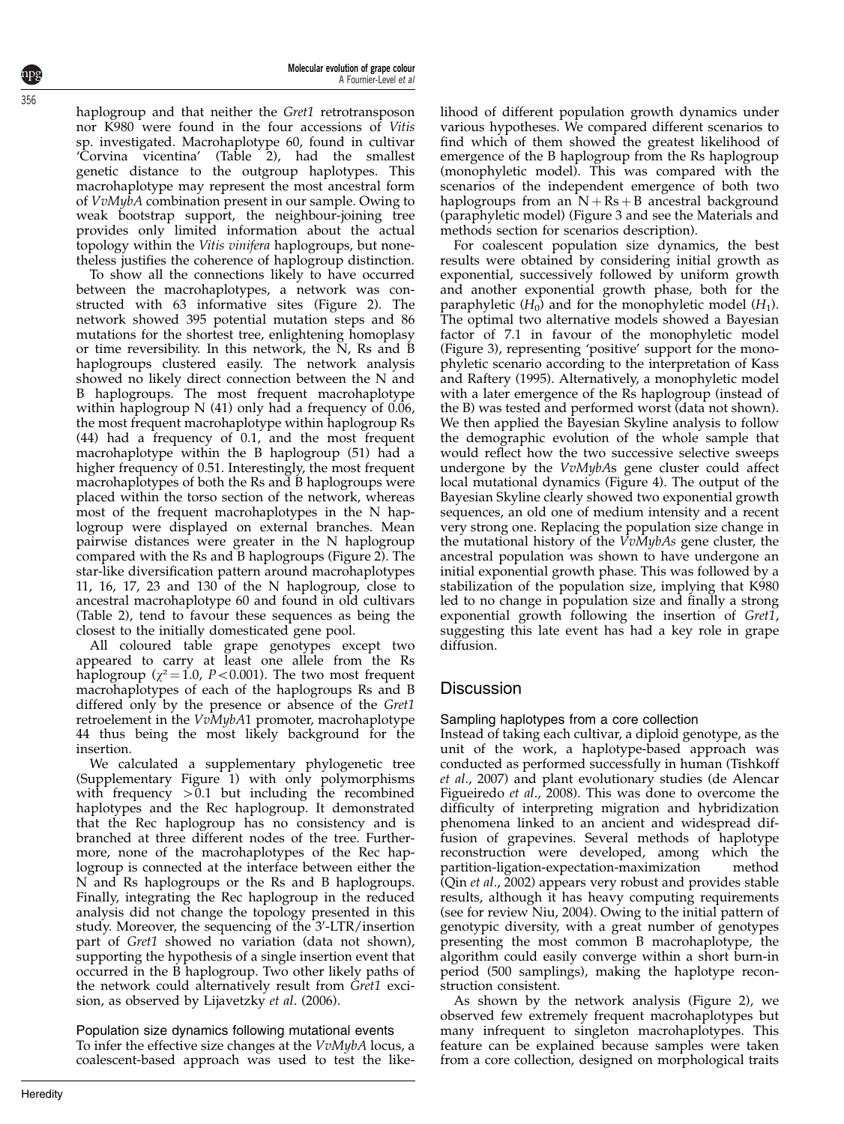haplogroup and that neither the Gret1 retrotransposon nor K980 were found in the four accessions of Vitis sp. investigated. Macrohaplotype 60, found in cultivar 'Corvina vicentina' [\(Table 2\)](#page-4-0), had the smallest genetic distance to the outgroup haplotypes. This macrohaplotype may represent the most ancestral form of VvMybA combination present in our sample. Owing to weak bootstrap support, the neighbour-joining tree provides only limited information about the actual topology within the Vitis vinifera haplogroups, but nonetheless justifies the coherence of haplogroup distinction.

To show all the connections likely to have occurred between the macrohaplotypes, a network was constructed with 63 informative sites ([Figure 2](#page-6-0)). The network showed 395 potential mutation steps and 86 mutations for the shortest tree, enlightening homoplasy or time reversibility. In this network, the  $\overline{N}$ , Rs and  $\overline{B}$ haplogroups clustered easily. The network analysis showed no likely direct connection between the N and B haplogroups. The most frequent macrohaplotype within haplogroup  $N(41)$  only had a frequency of 0.06, the most frequent macrohaplotype within haplogroup Rs (44) had a frequency of 0.1, and the most frequent macrohaplotype within the B haplogroup (51) had a higher frequency of 0.51. Interestingly, the most frequent macrohaplotypes of both the Rs and B haplogroups were placed within the torso section of the network, whereas most of the frequent macrohaplotypes in the N haplogroup were displayed on external branches. Mean pairwise distances were greater in the N haplogroup compared with the Rs and B haplogroups ([Figure 2\)](#page-6-0). The star-like diversification pattern around macrohaplotypes 11, 16, 17, 23 and 130 of the N haplogroup, close to ancestral macrohaplotype 60 and found in old cultivars ([Table 2](#page-4-0)), tend to favour these sequences as being the closest to the initially domesticated gene pool.

All coloured table grape genotypes except two appeared to carry at least one allele from the Rs haplogroup ( $\chi^2$  = 1.0, P < 0.001). The two most frequent macrohaplotypes of each of the haplogroups Rs and B differed only by the presence or absence of the Gret1 retroelement in the VvMybA1 promoter, macrohaplotype 44 thus being the most likely background for the insertion.

We calculated a supplementary phylogenetic tree (Supplementary Figure 1) with only polymorphisms with frequency  $>0.1$  but including the recombined haplotypes and the Rec haplogroup. It demonstrated that the Rec haplogroup has no consistency and is branched at three different nodes of the tree. Furthermore, none of the macrohaplotypes of the Rec haplogroup is connected at the interface between either the N and Rs haplogroups or the Rs and B haplogroups. Finally, integrating the Rec haplogroup in the reduced analysis did not change the topology presented in this study. Moreover, the sequencing of the 3'-LTR/insertion part of Gret1 showed no variation (data not shown), supporting the hypothesis of a single insertion event that occurred in the B haplogroup. Two other likely paths of the network could alternatively result from Gret1 excision, as observed by [Lijavetzky](#page-11-0) et al. (2006).

Population size dynamics following mutational events To infer the effective size changes at the VvMybA locus, a coalescent-based approach was used to test the likelihood of different population growth dynamics under various hypotheses. We compared different scenarios to find which of them showed the greatest likelihood of emergence of the B haplogroup from the Rs haplogroup (monophyletic model). This was compared with the scenarios of the independent emergence of both two haplogroups from an  $N + Rs + B$  ancestral background (paraphyletic model) ([Figure 3](#page-7-0) and see the Materials and

methods section for scenarios description). For coalescent population size dynamics, the best results were obtained by considering initial growth as exponential, successively followed by uniform growth and another exponential growth phase, both for the paraphyletic  $(H_0)$  and for the monophyletic model  $(H_1)$ . The optimal two alternative models showed a Bayesian factor of 7.1 in favour of the monophyletic model ([Figure 3\)](#page-7-0), representing 'positive' support for the monophyletic scenario according to the interpretation of [Kass](#page-11-0) [and Raftery \(1995\)](#page-11-0). Alternatively, a monophyletic model with a later emergence of the Rs haplogroup (instead of the B) was tested and performed worst (data not shown). We then applied the Bayesian Skyline analysis to follow the demographic evolution of the whole sample that would reflect how the two successive selective sweeps undergone by the *VvMybAs* gene cluster could affect local mutational dynamics [\(Figure 4](#page-8-0)). The output of the Bayesian Skyline clearly showed two exponential growth sequences, an old one of medium intensity and a recent very strong one. Replacing the population size change in the mutational history of the VvMybAs gene cluster, the ancestral population was shown to have undergone an initial exponential growth phase. This was followed by a stabilization of the population size, implying that K980 led to no change in population size and finally a strong exponential growth following the insertion of Gret1, suggesting this late event has had a key role in grape diffusion.

# Discussion

## Sampling haplotypes from a core collection

Instead of taking each cultivar, a diploid genotype, as the unit of the work, a haplotype-based approach was conducted as performed successfully in human ([Tishkoff](#page-11-0) et al[., 2007\)](#page-11-0) and plant evolutionary studies ([de Alencar](#page-10-0) [Figueiredo](#page-10-0) et al., 2008). This was done to overcome the difficulty of interpreting migration and hybridization phenomena linked to an ancient and widespread diffusion of grapevines. Several methods of haplotype reconstruction were developed, among which the partition-ligation-expectation-maximization method (Qin et al[., 2002\)](#page-11-0) appears very robust and provides stable results, although it has heavy computing requirements (see for review [Niu, 2004\)](#page-11-0). Owing to the initial pattern of genotypic diversity, with a great number of genotypes presenting the most common B macrohaplotype, the algorithm could easily converge within a short burn-in period (500 samplings), making the haplotype reconstruction consistent.

As shown by the network analysis ([Figure 2](#page-6-0)), we observed few extremely frequent macrohaplotypes but many infrequent to singleton macrohaplotypes. This feature can be explained because samples were taken from a core collection, designed on morphological traits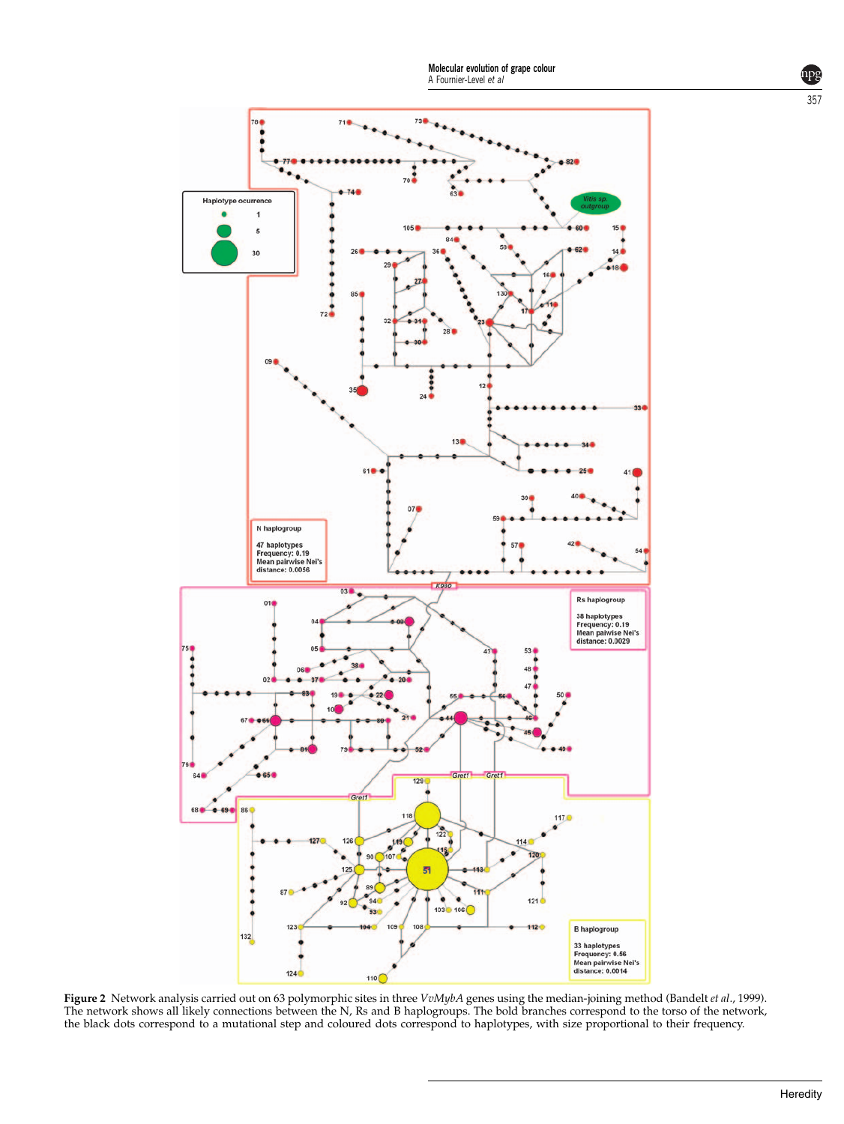<span id="page-6-0"></span>

Figure 2 Network analysis carried out on 63 polymorphic sites in three VvMybA genes using the median-joining method ([Bandelt](#page-10-0) *et al.,* 1999). The network shows all likely connections between the N, Rs and B haplogroups. The bold branches correspond to the torso of the network, the black dots correspond to a mutational step and coloured dots correspond to haplotypes, with size proportional to their frequency.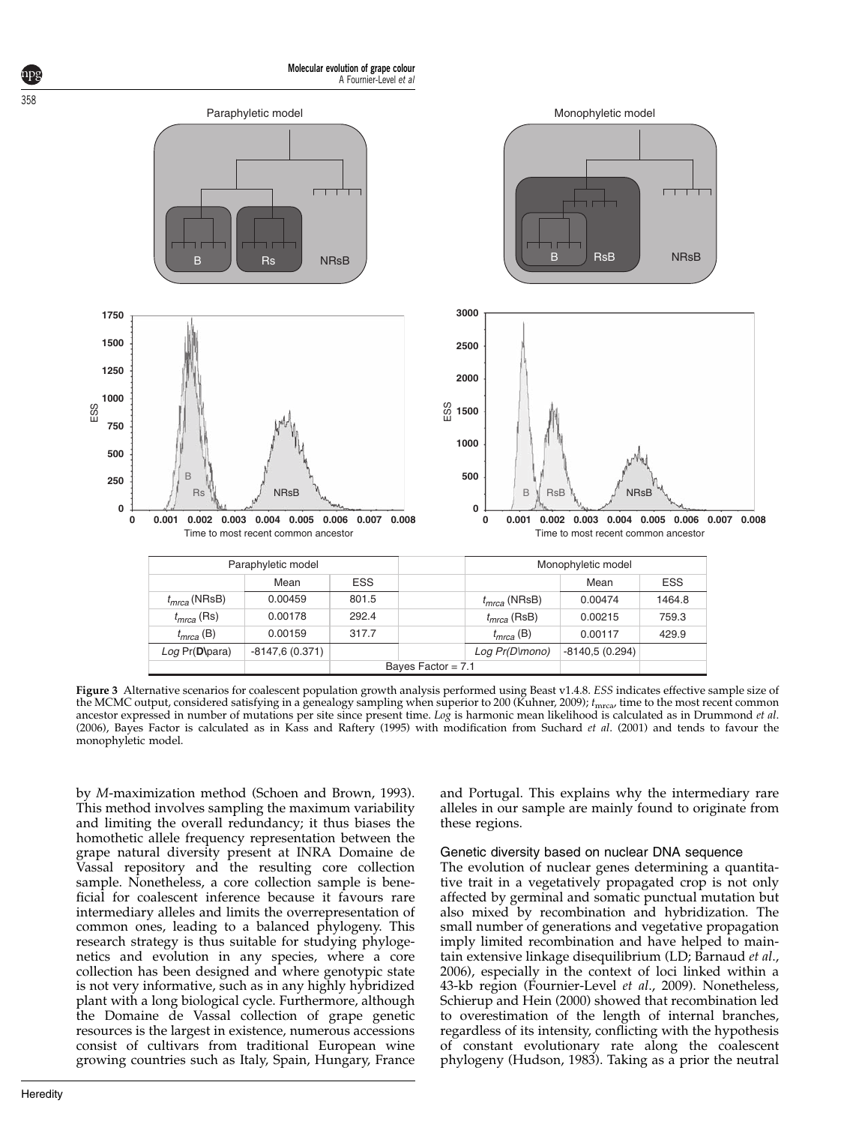<span id="page-7-0"></span>

Figure 3 Alternative scenarios for coalescent population growth analysis performed using Beast v1.4.8. ESS indicates effective sample size of the MCMC output, considered satisfying in a genealogy sampling when superior to 200 ([Kuhner, 2009\)](#page-11-0);  $t_{\text{mrca}}$ , time to the most recent common ancestor expressed in number of mutations per site since present time. Log is harmonic mean likelihood is calculated as in [Drummond](#page-10-0) et al. [\(2006\)](#page-10-0), Bayes Factor is calculated as in [Kass and Raftery \(1995\)](#page-11-0) with modification from [Suchard](#page-11-0) *et al.* (2001) and tends to favour the monophyletic model.

by M-maximization method ([Schoen and Brown, 1993](#page-11-0)). This method involves sampling the maximum variability and limiting the overall redundancy; it thus biases the homothetic allele frequency representation between the grape natural diversity present at INRA Domaine de Vassal repository and the resulting core collection sample. Nonetheless, a core collection sample is beneficial for coalescent inference because it favours rare intermediary alleles and limits the overrepresentation of common ones, leading to a balanced phylogeny. This research strategy is thus suitable for studying phylogenetics and evolution in any species, where a core collection has been designed and where genotypic state is not very informative, such as in any highly hybridized plant with a long biological cycle. Furthermore, although the Domaine de Vassal collection of grape genetic resources is the largest in existence, numerous accessions consist of cultivars from traditional European wine growing countries such as Italy, Spain, Hungary, France and Portugal. This explains why the intermediary rare alleles in our sample are mainly found to originate from these regions.

## Genetic diversity based on nuclear DNA sequence

The evolution of nuclear genes determining a quantitative trait in a vegetatively propagated crop is not only affected by germinal and somatic punctual mutation but also mixed by recombination and hybridization. The small number of generations and vegetative propagation imply limited recombination and have helped to maintain extensive linkage disequilibrium (LD; [Barnaud](#page-10-0) et al., [2006\)](#page-10-0), especially in the context of loci linked within a 43-kb region ([Fournier-Level](#page-10-0) et al., 2009). Nonetheless, [Schierup and Hein \(2000\)](#page-11-0) showed that recombination led to overestimation of the length of internal branches, regardless of its intensity, conflicting with the hypothesis of constant evolutionary rate along the coalescent phylogeny ([Hudson, 1983](#page-10-0)). Taking as a prior the neutral

358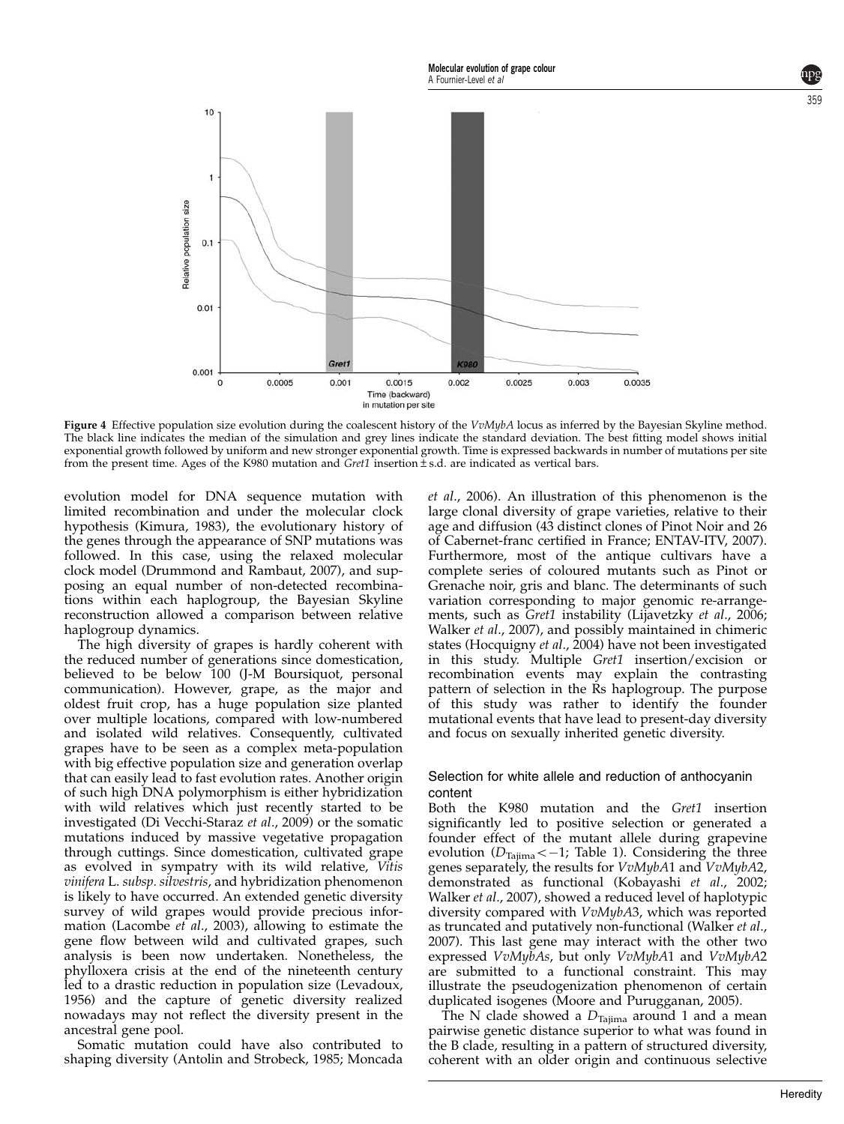<span id="page-8-0"></span>

Figure 4 Effective population size evolution during the coalescent history of the VvMybA locus as inferred by the Bayesian Skyline method. The black line indicates the median of the simulation and grey lines indicate the standard deviation. The best fitting model shows initial exponential growth followed by uniform and new stronger exponential growth. Time is expressed backwards in number of mutations per site from the present time. Ages of the K980 mutation and  $Gret1$  insertion  $\pm$  s.d. are indicated as vertical bars.

evolution model for DNA sequence mutation with limited recombination and under the molecular clock hypothesis ([Kimura, 1983\)](#page-11-0), the evolutionary history of the genes through the appearance of SNP mutations was followed. In this case, using the relaxed molecular clock model ([Drummond and Rambaut, 2007\)](#page-10-0), and supposing an equal number of non-detected recombinations within each haplogroup, the Bayesian Skyline reconstruction allowed a comparison between relative haplogroup dynamics.

The high diversity of grapes is hardly coherent with the reduced number of generations since domestication, believed to be below 100 (J-M Boursiquot, personal communication). However, grape, as the major and oldest fruit crop, has a huge population size planted over multiple locations, compared with low-numbered and isolated wild relatives. Consequently, cultivated grapes have to be seen as a complex meta-population with big effective population size and generation overlap that can easily lead to fast evolution rates. Another origin of such high DNA polymorphism is either hybridization with wild relatives which just recently started to be investigated ([Di Vecchi-Staraz](#page-10-0) et al., 2009) or the somatic mutations induced by massive vegetative propagation through cuttings. Since domestication, cultivated grape as evolved in sympatry with its wild relative, Vitis vinifera L. subsp. silvestris, and hybridization phenomenon is likely to have occurred. An extended genetic diversity survey of wild grapes would provide precious information [\(Lacombe](#page-11-0) et al., 2003), allowing to estimate the gene flow between wild and cultivated grapes, such analysis is been now undertaken. Nonetheless, the phylloxera crisis at the end of the nineteenth century led to a drastic reduction in population size [\(Levadoux,](#page-11-0) [1956](#page-11-0)) and the capture of genetic diversity realized nowadays may not reflect the diversity present in the ancestral gene pool.

Somatic mutation could have also contributed to shaping diversity [\(Antolin and Strobeck, 1985;](#page-10-0) [Moncada](#page-11-0) et al[., 2006](#page-11-0)). An illustration of this phenomenon is the large clonal diversity of grape varieties, relative to their age and diffusion (43 distinct clones of Pinot Noir and 26 of Cabernet-franc certified in France; [ENTAV-ITV, 2007\)](#page-10-0). Furthermore, most of the antique cultivars have a complete series of coloured mutants such as Pinot or Grenache noir, gris and blanc. The determinants of such variation corresponding to major genomic re-arrange-ments, such as Gret1 instability ([Lijavetzky](#page-11-0) et al., 2006; [Walker](#page-11-0) et al., 2007), and possibly maintained in chimeric states [\(Hocquigny](#page-10-0) et al., 2004) have not been investigated in this study. Multiple Gret1 insertion/excision or recombination events may explain the contrasting pattern of selection in the Rs haplogroup. The purpose of this study was rather to identify the founder mutational events that have lead to present-day diversity and focus on sexually inherited genetic diversity.

#### Selection for white allele and reduction of anthocyanin content

Both the K980 mutation and the Gret1 insertion significantly led to positive selection or generated a founder effect of the mutant allele during grapevine evolution ( $D_{\text{Tajima}} < -1$ ; [Table 1](#page-3-0)). Considering the three genes separately, the results for *VvMybA1* and *VvMybA2*, demonstrated as functional [\(Kobayashi](#page-11-0) et al., 2002; [Walker](#page-11-0) et al., 2007), showed a reduced level of haplotypic diversity compared with *VvMybA3*, which was reported as truncated and putatively non-functional [\(Walker](#page-11-0) et al., [2007](#page-11-0)). This last gene may interact with the other two expressed VvMybAs, but only VvMybA1 and VvMybA2 are submitted to a functional constraint. This may illustrate the pseudogenization phenomenon of certain duplicated isogenes ([Moore and Purugganan, 2005\)](#page-11-0).

The N clade showed a  $D_{\text{Tajima}}$  around 1 and a mean pairwise genetic distance superior to what was found in the B clade, resulting in a pattern of structured diversity, coherent with an older origin and continuous selective

**Heredity** 

359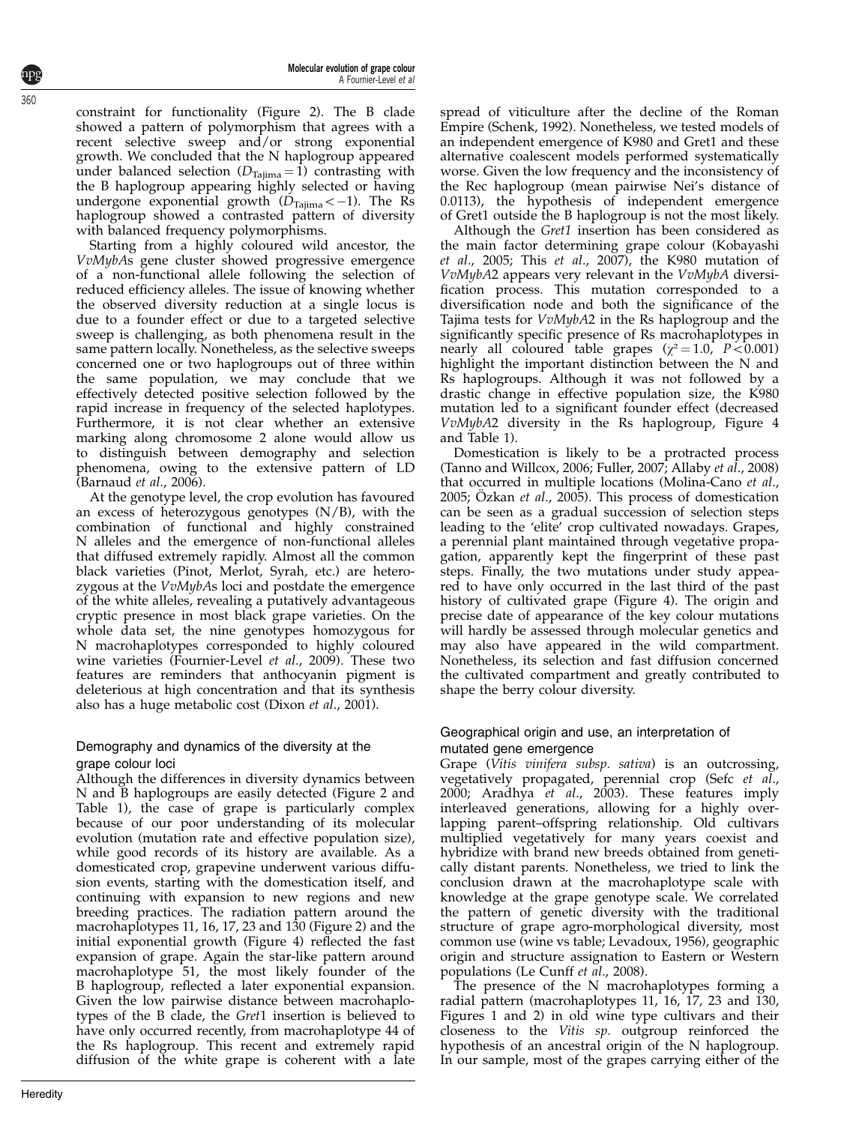constraint for functionality ([Figure 2](#page-6-0)). The B clade showed a pattern of polymorphism that agrees with a recent selective sweep and/or strong exponential growth. We concluded that the N haplogroup appeared under balanced selection ( $D_{\text{Tajima}} = 1$ ) contrasting with the B haplogroup appearing highly selected or having undergone exponential growth ( $D_{\text{Tajima}} < -1$ ). The Rs haplogroup showed a contrasted pattern of diversity with balanced frequency polymorphisms.

Starting from a highly coloured wild ancestor, the VvMybAs gene cluster showed progressive emergence of a non-functional allele following the selection of reduced efficiency alleles. The issue of knowing whether the observed diversity reduction at a single locus is due to a founder effect or due to a targeted selective sweep is challenging, as both phenomena result in the same pattern locally. Nonetheless, as the selective sweeps concerned one or two haplogroups out of three within the same population, we may conclude that we effectively detected positive selection followed by the rapid increase in frequency of the selected haplotypes. Furthermore, it is not clear whether an extensive marking along chromosome 2 alone would allow us to distinguish between demography and selection phenomena, owing to the extensive pattern of LD ([Barnaud](#page-10-0) et al., 2006).

At the genotype level, the crop evolution has favoured an excess of heterozygous genotypes  $(N/B)$ , with the combination of functional and highly constrained N alleles and the emergence of non-functional alleles that diffused extremely rapidly. Almost all the common black varieties (Pinot, Merlot, Syrah, etc.) are heterozygous at the *VvMybAs* loci and postdate the emergence of the white alleles, revealing a putatively advantageous cryptic presence in most black grape varieties. On the whole data set, the nine genotypes homozygous for N macrohaplotypes corresponded to highly coloured wine varieties ([Fournier-Level](#page-10-0) et al., 2009). These two features are reminders that anthocyanin pigment is deleterious at high concentration and that its synthesis also has a huge metabolic cost (Dixon et al[., 2001](#page-10-0)).

## Demography and dynamics of the diversity at the grape colour loci

Although the differences in diversity dynamics between N and B haplogroups are easily detected ([Figure 2](#page-6-0) and [Table 1](#page-3-0)), the case of grape is particularly complex because of our poor understanding of its molecular evolution (mutation rate and effective population size), while good records of its history are available. As a domesticated crop, grapevine underwent various diffusion events, starting with the domestication itself, and continuing with expansion to new regions and new breeding practices. The radiation pattern around the macrohaplotypes 11, 16, 17, 23 and 130 [\(Figure 2\)](#page-6-0) and the initial exponential growth [\(Figure 4\)](#page-8-0) reflected the fast expansion of grape. Again the star-like pattern around macrohaplotype 51, the most likely founder of the B haplogroup, reflected a later exponential expansion. Given the low pairwise distance between macrohaplotypes of the B clade, the Gret1 insertion is believed to have only occurred recently, from macrohaplotype 44 of the Rs haplogroup. This recent and extremely rapid diffusion of the white grape is coherent with a late spread of viticulture after the decline of the Roman Empire [\(Schenk, 1992](#page-11-0)). Nonetheless, we tested models of an independent emergence of K980 and Gret1 and these alternative coalescent models performed systematically worse. Given the low frequency and the inconsistency of the Rec haplogroup (mean pairwise Nei's distance of 0.0113), the hypothesis of independent emergence of Gret1 outside the B haplogroup is not the most likely.

Although the Gret1 insertion has been considered as the main factor determining grape colour ([Kobayashi](#page-11-0) et al[., 2005;](#page-11-0) This et al[., 2007\)](#page-11-0), the K980 mutation of VvMybA2 appears very relevant in the VvMybA diversification process. This mutation corresponded to a diversification node and both the significance of the Tajima tests for  $VvMybA2$  in the Rs haplogroup and the significantly specific presence of Rs macrohaplotypes in nearly all coloured table grapes  $(\chi^2 = 1.0, P < 0.001)$ highlight the important distinction between the N and Rs haplogroups. Although it was not followed by a drastic change in effective population size, the K980 mutation led to a significant founder effect (decreased VvMybA2 diversity in the Rs haplogroup, [Figure 4](#page-8-0) and [Table 1](#page-3-0)).

Domestication is likely to be a protracted process ([Tanno and Willcox, 2006](#page-11-0); [Fuller, 2007; Allaby](#page-10-0) et al., 2008) that occurred in multiple locations ([Molina-Cano](#page-11-0) et al., [2005;](#page-11-0) Ozkan et al[., 2005](#page-11-0)). This process of domestication can be seen as a gradual succession of selection steps leading to the 'elite' crop cultivated nowadays. Grapes, a perennial plant maintained through vegetative propagation, apparently kept the fingerprint of these past steps. Finally, the two mutations under study appeared to have only occurred in the last third of the past history of cultivated grape ([Figure 4](#page-8-0)). The origin and precise date of appearance of the key colour mutations will hardly be assessed through molecular genetics and may also have appeared in the wild compartment. Nonetheless, its selection and fast diffusion concerned the cultivated compartment and greatly contributed to shape the berry colour diversity.

## Geographical origin and use, an interpretation of mutated gene emergence

Grape (Vitis vinifera subsp. sativa) is an outcrossing, vegetatively propagated, perennial crop (Sefc [et al](#page-11-0)., [2000;](#page-11-0) [Aradhya](#page-10-0) et al., 2003). These features imply interleaved generations, allowing for a highly overlapping parent–offspring relationship. Old cultivars multiplied vegetatively for many years coexist and hybridize with brand new breeds obtained from genetically distant parents. Nonetheless, we tried to link the conclusion drawn at the macrohaplotype scale with knowledge at the grape genotype scale. We correlated the pattern of genetic diversity with the traditional structure of grape agro-morphological diversity, most common use (wine vs table; [Levadoux, 1956](#page-11-0)), geographic origin and structure assignation to Eastern or Western populations [\(Le Cunff](#page-11-0) et al., 2008).

The presence of the N macrohaplotypes forming a radial pattern (macrohaplotypes 11, 16, 17, 23 and 130, [Figures 1 and 2](#page-3-0)) in old wine type cultivars and their closeness to the Vitis sp. outgroup reinforced the hypothesis of an ancestral origin of the N haplogroup. In our sample, most of the grapes carrying either of the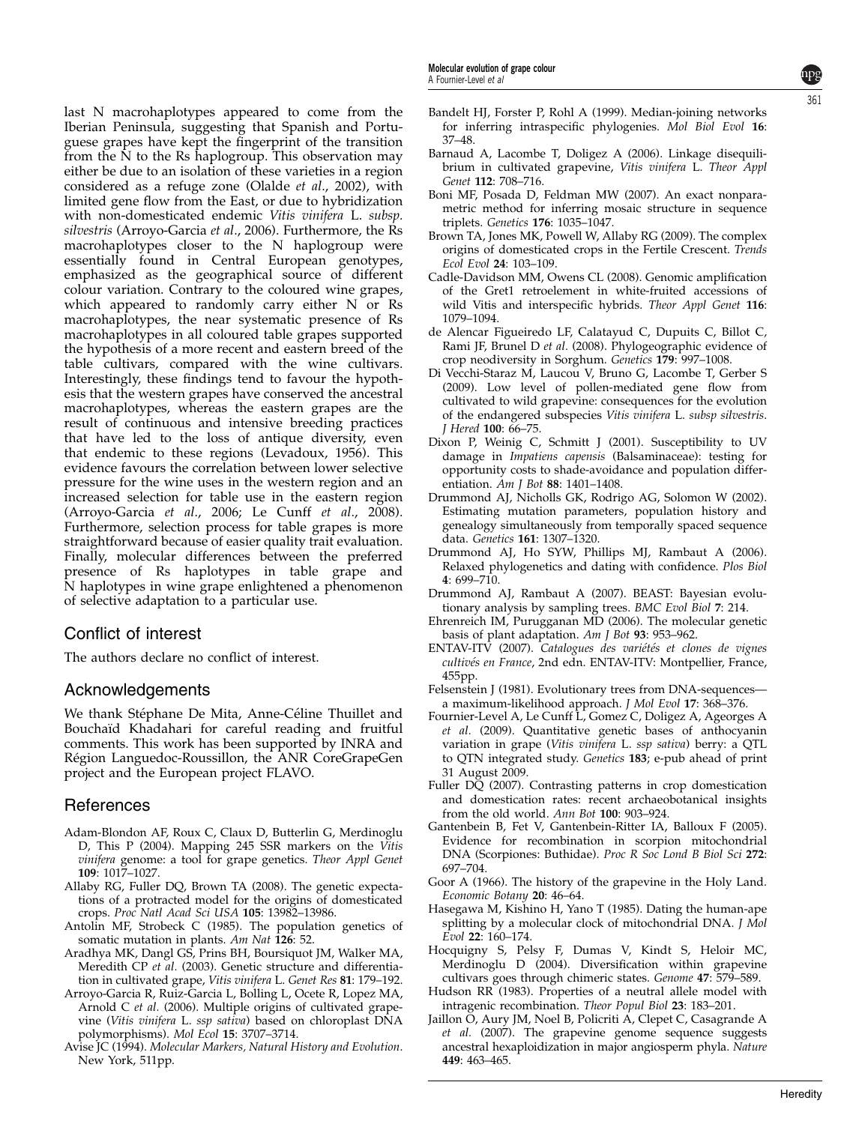<span id="page-10-0"></span>last N macrohaplotypes appeared to come from the Iberian Peninsula, suggesting that Spanish and Portuguese grapes have kept the fingerprint of the transition from the  $\bar{N}$  to the Rs haplogroup. This observation may either be due to an isolation of these varieties in a region considered as a refuge zone (Olalde et al[., 2002](#page-11-0)), with limited gene flow from the East, or due to hybridization with non-domesticated endemic Vitis vinifera L. subsp. silvestris (Arroyo-Garcia et al., 2006). Furthermore, the Rs macrohaplotypes closer to the N haplogroup were essentially found in Central European genotypes, emphasized as the geographical source of different colour variation. Contrary to the coloured wine grapes, which appeared to randomly carry either  $N$  or Rs macrohaplotypes, the near systematic presence of Rs macrohaplotypes in all coloured table grapes supported the hypothesis of a more recent and eastern breed of the table cultivars, compared with the wine cultivars. Interestingly, these findings tend to favour the hypothesis that the western grapes have conserved the ancestral macrohaplotypes, whereas the eastern grapes are the result of continuous and intensive breeding practices that have led to the loss of antique diversity, even that endemic to these regions [\(Levadoux, 1956\)](#page-11-0). This evidence favours the correlation between lower selective pressure for the wine uses in the western region and an increased selection for table use in the eastern region (Arroyo-Garcia et al., 2006; [Le Cunff](#page-11-0) et al., 2008). Furthermore, selection process for table grapes is more straightforward because of easier quality trait evaluation. Finally, molecular differences between the preferred presence of Rs haplotypes in table grape and N haplotypes in wine grape enlightened a phenomenon of selective adaptation to a particular use.

# Conflict of interest

The authors declare no conflict of interest.

## Acknowledgements

We thank Stéphane De Mita, Anne-Céline Thuillet and Bouchaïd Khadahari for careful reading and fruitful comments. This work has been supported by INRA and Région Languedoc-Roussillon, the ANR CoreGrapeGen project and the European project FLAVO.

## References

- Adam-Blondon AF, Roux C, Claux D, Butterlin G, Merdinoglu D, This P (2004). Mapping 245 SSR markers on the Vitis vinifera genome: a tool for grape genetics. Theor Appl Genet 109: 1017–1027.
- Allaby RG, Fuller DQ, Brown TA (2008). The genetic expectations of a protracted model for the origins of domesticated crops. Proc Natl Acad Sci USA 105: 13982–13986.
- Antolin MF, Strobeck C (1985). The population genetics of somatic mutation in plants. Am Nat  $\hat{126}$ : 52.
- Aradhya MK, Dangl GS, Prins BH, Boursiquot JM, Walker MA, Meredith CP et al. (2003). Genetic structure and differentiation in cultivated grape, Vitis vinifera L. Genet Res 81: 179–192.
- Arroyo-Garcia R, Ruiz-Garcia L, Bolling L, Ocete R, Lopez MA, Arnold C et al. (2006). Multiple origins of cultivated grapevine (Vitis vinifera L. ssp sativa) based on chloroplast DNA polymorphisms). Mol Ecol 15: 3707–3714.
- Avise JC (1994). Molecular Markers, Natural History and Evolution. New York, 511pp.

Bandelt HJ, Forster P, Rohl A (1999). Median-joining networks for inferring intraspecific phylogenies. Mol Biol Evol 16: 37–48.

Molecular evolution of grape colour

A Fournier-Level et al

- Barnaud A, Lacombe T, Doligez A (2006). Linkage disequilibrium in cultivated grapevine, Vitis vinifera L. Theor Appl Genet 112: 708–716.
- Boni MF, Posada D, Feldman MW (2007). An exact nonparametric method for inferring mosaic structure in sequence triplets. Genetics 176: 1035–1047.
- Brown TA, Jones MK, Powell W, Allaby RG (2009). The complex origins of domesticated crops in the Fertile Crescent. Trends Ecol Evol 24: 103–109.
- Cadle-Davidson MM, Owens CL (2008). Genomic amplification of the Gret1 retroelement in white-fruited accessions of wild Vitis and interspecific hybrids. Theor Appl Genet 116: 1079–1094.
- de Alencar Figueiredo LF, Calatayud C, Dupuits C, Billot C, Rami JF, Brunel D et al. (2008). Phylogeographic evidence of crop neodiversity in Sorghum. Genetics 179: 997–1008.
- Di Vecchi-Staraz M, Laucou V, Bruno G, Lacombe T, Gerber S (2009). Low level of pollen-mediated gene flow from cultivated to wild grapevine: consequences for the evolution of the endangered subspecies Vitis vinifera L. subsp silvestris. J Hered 100: 66–75.
- Dixon P, Weinig C, Schmitt J (2001). Susceptibility to UV damage in Impatiens capensis (Balsaminaceae): testing for opportunity costs to shade-avoidance and population differentiation. Am J Bot 88: 1401–1408.
- Drummond AJ, Nicholls GK, Rodrigo AG, Solomon W (2002). Estimating mutation parameters, population history and genealogy simultaneously from temporally spaced sequence data. Genetics 161: 1307–1320.
- Drummond AJ, Ho SYW, Phillips MJ, Rambaut A (2006). Relaxed phylogenetics and dating with confidence. Plos Biol 4: 699–710.
- Drummond AJ, Rambaut A (2007). BEAST: Bayesian evolutionary analysis by sampling trees. BMC Evol Biol 7: 214.
- Ehrenreich IM, Purugganan MD (2006). The molecular genetic basis of plant adaptation. Am J Bot 93: 953–962.
- ENTAV-ITV (2007). Catalogues des variétés et clones de vignes cultivés en France, 2nd edn. ENTAV-ITV: Montpellier, France, 455pp.
- Felsenstein J (1981). Evolutionary trees from DNA-sequences a maximum-likelihood approach. J Mol Evol 17: 368–376.
- Fournier-Level A, Le Cunff L, Gomez C, Doligez A, Ageorges A et al. (2009). Quantitative genetic bases of anthocyanin variation in grape (Vitis vinifera L. ssp sativa) berry: a QTL to QTN integrated study. Genetics 183; e-pub ahead of print 31 August 2009.
- Fuller DQ (2007). Contrasting patterns in crop domestication and domestication rates: recent archaeobotanical insights from the old world. Ann Bot 100: 903–924.
- Gantenbein B, Fet V, Gantenbein-Ritter IA, Balloux F (2005). Evidence for recombination in scorpion mitochondrial DNA (Scorpiones: Buthidae). Proc R Soc Lond B Biol Sci 272: 697–704.
- Goor A (1966). The history of the grapevine in the Holy Land. Economic Botany 20: 46–64.
- Hasegawa M, Kishino H, Yano T (1985). Dating the human-ape splitting by a molecular clock of mitochondrial DNA. J Mol Evol 22: 160–174.
- Hocquigny S, Pelsy F, Dumas V, Kindt S, Heloir MC, Merdinoglu D (2004). Diversification within grapevine cultivars goes through chimeric states. Genome 47: 579–589.
- Hudson RR (1983). Properties of a neutral allele model with intragenic recombination. Theor Popul Biol 23: 183–201.
- Jaillon O, Aury JM, Noel B, Policriti A, Clepet C, Casagrande A et al. (2007). The grapevine genome sequence suggests ancestral hexaploidization in major angiosperm phyla. Nature 449: 463–465.